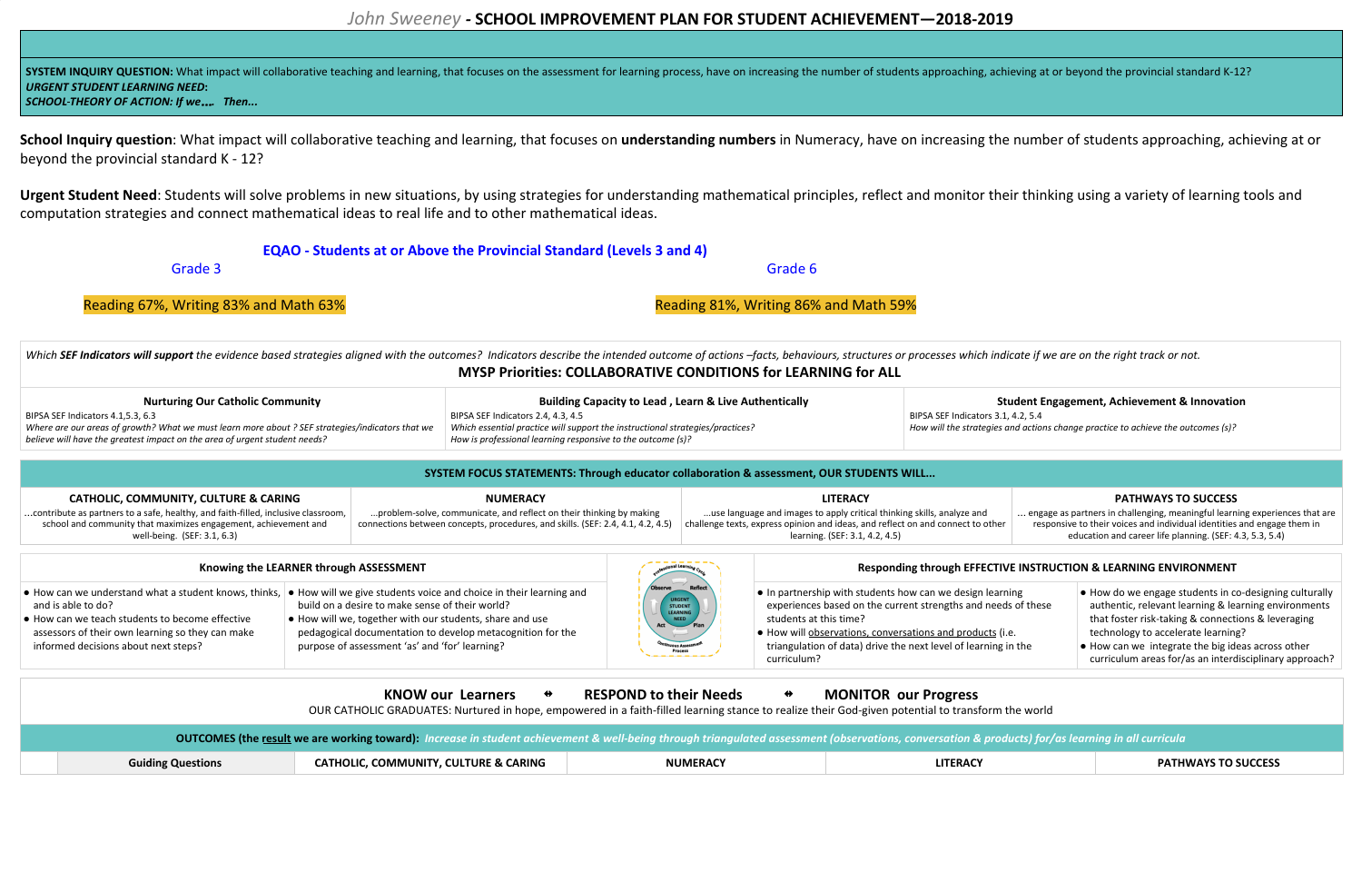# *John Sweeney -* **SCHOOL IMPROVEMENT PLAN FOR STUDENT ACHIEVEMENT—2018-2019**

SYSTEM INQUIRY QUESTION: What impact will collaborative teaching and learning, that focuses on the assessment for learning process, have on increasing the number of students approaching, achieving at or beyond the provinci *URGENT STUDENT LEARNING NEED***:**

School Inquiry question: What impact will collaborative teaching and learning, that focuses on understanding numbers in Numeracy, have on increasing the number of students approaching, achieving at or beyond the provincial standard K - 12?

*SCHOOL THEORY OF ACTION: If we*…*. Then...*

Urgent Student Need: Students will solve problems in new situations, by using strategies for understanding mathematical principles, reflect and monitor their thinking using a variety of learning tools and computation strategies and connect mathematical ideas to real life and to other mathematical ideas.

Which SEF Indicators will support the evidence based strategies aligned with the outcomes? Indicators describe the intended outcome of actions -facts, behaviours, structures or processes which indicate if we are on the rig **MYSP Priorities: COLLABORATIVE CONDITIONS for LEARNING for ALL**

# **EQAO - Students at or Above the Provincial Standard (Levels 3 and 4)**

Grade 3 Grade 6

Reading 67%, Writing 83% and Math 63% Reading 81%, Writing 86% and Math 59%

| <b>Nurturing Our Catholic Community</b>                                                                                                                                        | <b>Building Capacity to Lead, Learn &amp; Live Authentically</b>                                                                             |                         |
|--------------------------------------------------------------------------------------------------------------------------------------------------------------------------------|----------------------------------------------------------------------------------------------------------------------------------------------|-------------------------|
| BIPSA SEF Indicators 4.1.5.3, 6.3                                                                                                                                              | BIPSA SEF Indicators 2.4, 4.3, 4.5                                                                                                           | BIPSA SEF Indicators 3. |
| Where are our areas of growth? What we must learn more about ? SEF strategies/indicators that we<br>believe will have the greatest impact on the area of urgent student needs? | Which essential practice will support the instructional strategies/practices?<br>How is professional learning responsive to the outcome (s)? | How will the strategies |

# **Student Engagement, Achievement & Innovation**

 $8.1, 4.2, 5.4$ and actions change practice to achieve the outcomes (s)?

### **SYSTEM FOCUS STATEMENTS: Through educator collaboration & assessment, OUR STUDENTS WILL...**

**CATHOLIC, COMMUNITY, CULTURE & CARING** …contribute as partners to a safe, healthy, and faith-filled, inclusive classroom, school and community that maximizes engagement, achievement and well-being. (SEF: 3.1, 6.3) **NUMERACY** ...problem-solve, communicate, and reflect on their thinking by making connections between concepts, procedures, and skills. (SEF: 2.4, 4.1, 4.2, 4.5) **LITERACY** ...use language and images to apply critical thinking skills, analyze and challenge texts, express opinion and ideas, and reflect on and connect to other learning. (SEF: 3.1, 4.2, 4.5)

# **PATHWAYS TO SUCCESS** … engage as partners in challenging, meaningful learning experiences that are responsive to their voices and individual identities and engage them in education and career life planning. (SEF: 4.3, 5.3, 5.4)

|                                                                                                                                                                   | Knowing the LEARNER through ASSESSMENT                                                                                                                                                                                                                                                                                                                   |                                                                                    | Responding through EFFECTIVE INSTRUCTION & LEARNING ENVIRONMENT                                                                                                                                                                                                                                            |                                                                                                                                                                                                                                                                                                                                           |
|-------------------------------------------------------------------------------------------------------------------------------------------------------------------|----------------------------------------------------------------------------------------------------------------------------------------------------------------------------------------------------------------------------------------------------------------------------------------------------------------------------------------------------------|------------------------------------------------------------------------------------|------------------------------------------------------------------------------------------------------------------------------------------------------------------------------------------------------------------------------------------------------------------------------------------------------------|-------------------------------------------------------------------------------------------------------------------------------------------------------------------------------------------------------------------------------------------------------------------------------------------------------------------------------------------|
| and is able to do?<br>● How can we teach students to become effective<br>assessors of their own learning so they can make<br>informed decisions about next steps? | ● How can we understand what a student knows, thinks,  ● How will we give students voice and choice in their learning and<br>build on a desire to make sense of their world?<br>• How will we, together with our students, share and use<br>pedagogical documentation to develop metacognition for the<br>purpose of assessment 'as' and 'for' learning? | <b>Observe Reflect</b><br>STUDENT<br>ELERNING<br>RED<br>Plan<br>Process<br>Process | $\bullet$ In partnership with students how can we design learning<br>experiences based on the current strengths and needs of these<br>students at this time?<br>. How will observations, conversations and products (i.e.<br>triangulation of data) drive the next level of learning in the<br>curriculum? | $\bullet$ How do we engage students in co-designing culturally<br>authentic, relevant learning & learning environments<br>that foster risk-taking & connections & leveraging<br>technology to accelerate learning?<br>$\bullet$ How can we integrate the big ideas across other<br>curriculum areas for/as an interdisciplinary approach? |
|                                                                                                                                                                   |                                                                                                                                                                                                                                                                                                                                                          |                                                                                    |                                                                                                                                                                                                                                                                                                            |                                                                                                                                                                                                                                                                                                                                           |

| <b>OUTCOMES (the result we are working toward):</b> Increase in student achievement & well-being through triangulated assessment (observations, conversation & products) for/as learning in all curricula |                          | <b>KNOW our Learners</b><br>OUR CATHOLIC GRADUATES: Nurtured in hope, empowered in a faith-filled learning stance to realize their God-given potential to transform the world | <b>RESPOND to their Needs</b><br>⇔ | <b>MONITOR our Progress</b> |                            |
|-----------------------------------------------------------------------------------------------------------------------------------------------------------------------------------------------------------|--------------------------|-------------------------------------------------------------------------------------------------------------------------------------------------------------------------------|------------------------------------|-----------------------------|----------------------------|
|                                                                                                                                                                                                           |                          |                                                                                                                                                                               |                                    |                             |                            |
|                                                                                                                                                                                                           | <b>Guiding Questions</b> | <b>CATHOLIC, COMMUNITY, CULTURE &amp; CARING</b>                                                                                                                              | <b>NUMERACY</b>                    | <b>LITERACY</b>             | <b>PATHWAYS TO SUCCESS</b> |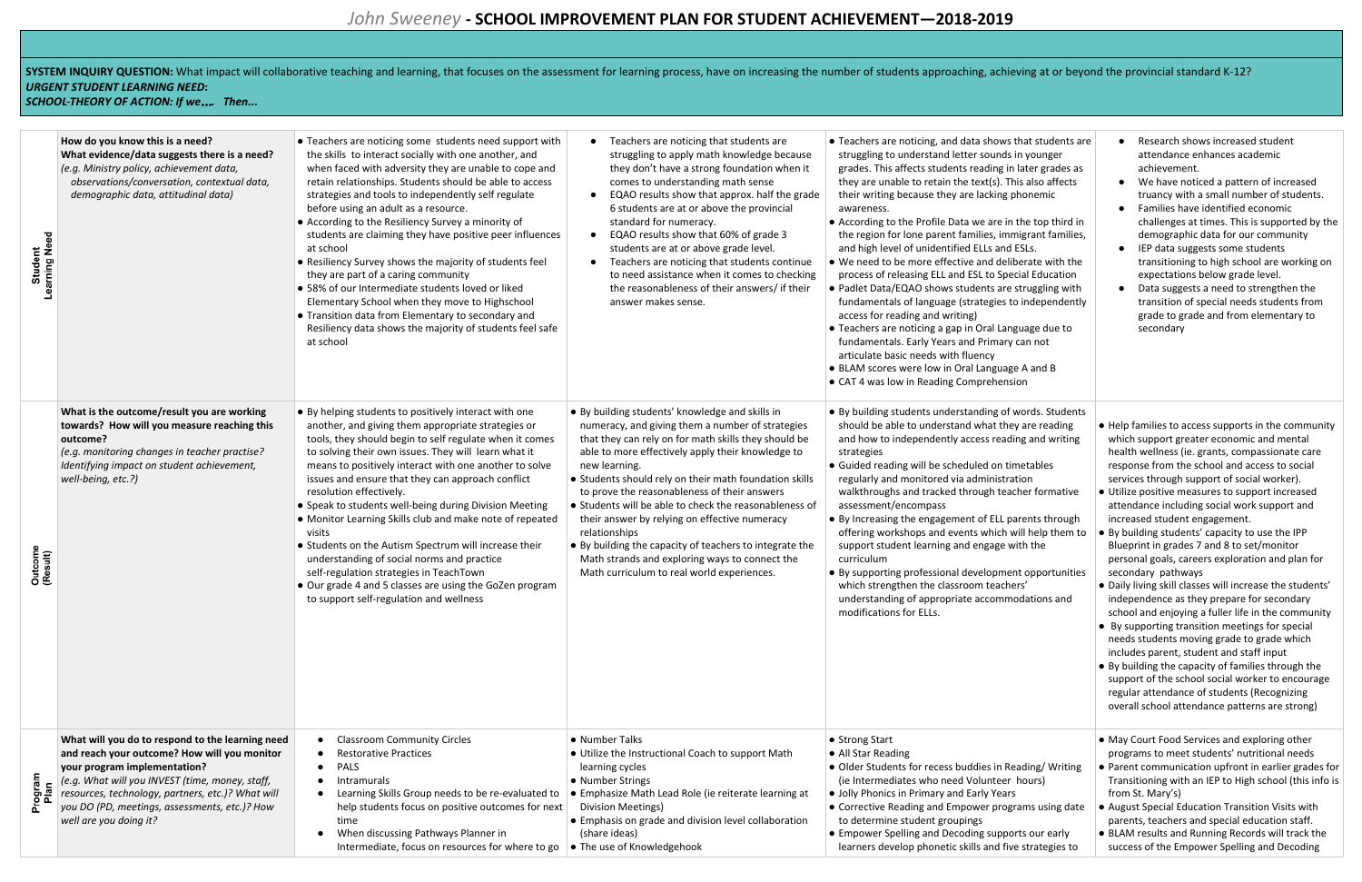# SYSTEM INQUIRY QUESTION: What impact will collaborative teaching and learning, that focuses on the assessment for learning process, have on increasing the number of students approaching, achieving at or beyond the provinci *URGENT STUDENT LEARNING NEED***:**

*SCHOOL THEORY OF ACTION: If we*…*. Then...*

| Student<br>Learning Need | How do you know this is a need?<br>What evidence/data suggests there is a need?<br>(e.g. Ministry policy, achievement data,<br>observations/conversation, contextual data,<br>demographic data, attitudinal data)                                                                                                   | • Teachers are noticing some students need support with<br>the skills to interact socially with one another, and<br>when faced with adversity they are unable to cope and<br>retain relationships. Students should be able to access<br>strategies and tools to independently self regulate<br>before using an adult as a resource.<br>• According to the Resiliency Survey a minority of<br>students are claiming they have positive peer influences<br>at school<br>• Resiliency Survey shows the majority of students feel<br>they are part of a caring community<br>• 58% of our Intermediate students loved or liked<br>Elementary School when they move to Highschool<br>• Transition data from Elementary to secondary and<br>Resiliency data shows the majority of students feel safe<br>at school | Teachers are noticing that students are<br>struggling to apply math knowledge because<br>they don't have a strong foundation when it<br>comes to understanding math sense<br>EQAO results show that approx. half the grade<br>6 students are at or above the provincial<br>standard for numeracy.<br>EQAO results show that 60% of grade 3<br>students are at or above grade level.<br>Teachers are noticing that students continue<br>to need assistance when it comes to checking<br>the reasonableness of their answers/ if their<br>answer makes sense.                                                                        | • Teachers are noticing, and data shows that students are<br>struggling to understand letter sounds in younger<br>grades. This affects students reading in later grades as<br>they are unable to retain the text(s). This also affects<br>their writing because they are lacking phonemic<br>awareness.<br>• According to the Profile Data we are in the top third in<br>the region for lone parent families, immigrant families,<br>and high level of unidentified ELLs and ESLs.<br>. We need to be more effective and deliberate with the<br>process of releasing ELL and ESL to Special Education<br>• Padlet Data/EQAO shows students are struggling with<br>fundamentals of language (strategies to independently<br>access for reading and writing)<br>• Teachers are noticing a gap in Oral Language due to<br>fundamentals. Early Years and Primary can not<br>articulate basic needs with fluency<br>• BLAM scores were low in Oral Language A and B<br>• CAT 4 was low in Reading Comprehension |
|--------------------------|---------------------------------------------------------------------------------------------------------------------------------------------------------------------------------------------------------------------------------------------------------------------------------------------------------------------|------------------------------------------------------------------------------------------------------------------------------------------------------------------------------------------------------------------------------------------------------------------------------------------------------------------------------------------------------------------------------------------------------------------------------------------------------------------------------------------------------------------------------------------------------------------------------------------------------------------------------------------------------------------------------------------------------------------------------------------------------------------------------------------------------------|------------------------------------------------------------------------------------------------------------------------------------------------------------------------------------------------------------------------------------------------------------------------------------------------------------------------------------------------------------------------------------------------------------------------------------------------------------------------------------------------------------------------------------------------------------------------------------------------------------------------------------|------------------------------------------------------------------------------------------------------------------------------------------------------------------------------------------------------------------------------------------------------------------------------------------------------------------------------------------------------------------------------------------------------------------------------------------------------------------------------------------------------------------------------------------------------------------------------------------------------------------------------------------------------------------------------------------------------------------------------------------------------------------------------------------------------------------------------------------------------------------------------------------------------------------------------------------------------------------------------------------------------------|
| Outcome<br>(Result)      | What is the outcome/result you are working<br>towards? How will you measure reaching this<br>outcome?<br>(e.g. monitoring changes in teacher practise?<br>Identifying impact on student achievement,<br>well-being, etc.?)                                                                                          | • By helping students to positively interact with one<br>another, and giving them appropriate strategies or<br>tools, they should begin to self regulate when it comes<br>to solving their own issues. They will learn what it<br>means to positively interact with one another to solve<br>issues and ensure that they can approach conflict<br>resolution effectively.<br>• Speak to students well-being during Division Meeting<br>• Monitor Learning Skills club and make note of repeated<br>visits<br>• Students on the Autism Spectrum will increase their<br>understanding of social norms and practice<br>self-regulation strategies in TeachTown<br>• Our grade 4 and 5 classes are using the GoZen program<br>to support self-regulation and wellness                                           | • By building students' knowledge and skills in<br>numeracy, and giving them a number of strategies<br>that they can rely on for math skills they should be<br>able to more effectively apply their knowledge to<br>new learning.<br>• Students should rely on their math foundation skills<br>to prove the reasonableness of their answers<br>• Students will be able to check the reasonableness of<br>their answer by relying on effective numeracy<br>relationships<br>• By building the capacity of teachers to integrate the<br>Math strands and exploring ways to connect the<br>Math curriculum to real world experiences. | • By building students understanding of words. Students<br>should be able to understand what they are reading<br>and how to independently access reading and writing<br>strategies<br>• Guided reading will be scheduled on timetables<br>regularly and monitored via administration<br>walkthroughs and tracked through teacher formative<br>assessment/encompass<br>• By Increasing the engagement of ELL parents through<br>offering workshops and events which will help them to<br>support student learning and engage with the<br>curriculum<br>• By supporting professional development opportunities<br>which strengthen the classroom teachers'<br>understanding of appropriate accommodations and<br>modifications for ELLs.                                                                                                                                                                                                                                                                     |
| Program<br>Plan          | What will you do to respond to the learning need<br>and reach your outcome? How will you monitor<br>your program implementation?<br>(e.g. What will you INVEST (time, money, staff,<br>resources, technology, partners, etc.)? What will<br>you DO (PD, meetings, assessments, etc.)? How<br>well are you doing it? | <b>Classroom Community Circles</b><br>$\bullet$<br><b>Restorative Practices</b><br>PALS<br>$\bullet$<br>Intramurals<br>$\bullet$<br>Learning Skills Group needs to be re-evaluated to<br>$\bullet$<br>help students focus on positive outcomes for next<br>time<br>When discussing Pathways Planner in<br>$\bullet$<br>Intermediate, focus on resources for where to go                                                                                                                                                                                                                                                                                                                                                                                                                                    | • Number Talks<br>• Utilize the Instructional Coach to support Math<br>learning cycles<br>• Number Strings<br>• Emphasize Math Lead Role (ie reiterate learning at<br><b>Division Meetings)</b><br>• Emphasis on grade and division level collaboration<br>(share ideas)<br>• The use of Knowledgehook                                                                                                                                                                                                                                                                                                                             | • Strong Start<br>• All Star Reading<br>• Older Students for recess buddies in Reading/Writing<br>(ie Intermediates who need Volunteer hours)<br>• Jolly Phonics in Primary and Early Years<br>• Corrective Reading and Empower programs using date<br>to determine student groupings<br>• Empower Spelling and Decoding supports our early<br>learners develop phonetic skills and five strategies to                                                                                                                                                                                                                                                                                                                                                                                                                                                                                                                                                                                                     |

| ws that students are<br>ds in younger<br>g in later grades as<br>. This also affects<br>ng phonemic<br>e in the top third in<br>immigrant families,<br><b>nd ESLs.</b><br>deliberate with the<br>Special Education<br>are struggling with<br>es to independently<br>Language due to<br>ary can not<br>uage A and B<br>ension | Research shows increased student<br>attendance enhances academic<br>achievement.<br>We have noticed a pattern of increased<br>truancy with a small number of students.<br>Families have identified economic<br>challenges at times. This is supported by the<br>demographic data for our community<br>IEP data suggests some students<br>transitioning to high school are working on<br>expectations below grade level.<br>Data suggests a need to strengthen the<br>transition of special needs students from<br>grade to grade and from elementary to<br>secondary                                                                                                                                                                                                                                                                                                                                                                                                                                                                                                                                 |
|------------------------------------------------------------------------------------------------------------------------------------------------------------------------------------------------------------------------------------------------------------------------------------------------------------------------------|------------------------------------------------------------------------------------------------------------------------------------------------------------------------------------------------------------------------------------------------------------------------------------------------------------------------------------------------------------------------------------------------------------------------------------------------------------------------------------------------------------------------------------------------------------------------------------------------------------------------------------------------------------------------------------------------------------------------------------------------------------------------------------------------------------------------------------------------------------------------------------------------------------------------------------------------------------------------------------------------------------------------------------------------------------------------------------------------------|
| of words. Students<br>they are reading<br>eading and writing<br>n timetables<br>stration<br>teacher formative<br>L parents through<br>ch will help them to<br>e with the<br>ment opportunities<br>chers'<br>nmodations and                                                                                                   | • Help families to access supports in the community<br>which support greater economic and mental<br>health wellness (ie. grants, compassionate care<br>response from the school and access to social<br>services through support of social worker).<br>• Utilize positive measures to support increased<br>attendance including social work support and<br>increased student engagement.<br>By building students' capacity to use the IPP<br>$\bullet$<br>Blueprint in grades 7 and 8 to set/monitor<br>personal goals, careers exploration and plan for<br>secondary pathways<br>. Daily living skill classes will increase the students'<br>independence as they prepare for secondary<br>school and enjoying a fuller life in the community<br>By supporting transition meetings for special<br>needs students moving grade to grade which<br>includes parent, student and staff input<br>• By building the capacity of families through the<br>support of the school social worker to encourage<br>regular attendance of students (Recognizing<br>overall school attendance patterns are strong) |
| n Reading/Writing<br>eer hours)<br>ears<br>rograms using date<br>pports our early<br>I five strategies to                                                                                                                                                                                                                    | • May Court Food Services and exploring other<br>programs to meet students' nutritional needs<br>• Parent communication upfront in earlier grades for<br>Transitioning with an IEP to High school (this info is<br>from St. Mary's)<br>• August Special Education Transition Visits with<br>parents, teachers and special education staff.<br>• BLAM results and Running Records will track the<br>success of the Empower Spelling and Decoding                                                                                                                                                                                                                                                                                                                                                                                                                                                                                                                                                                                                                                                      |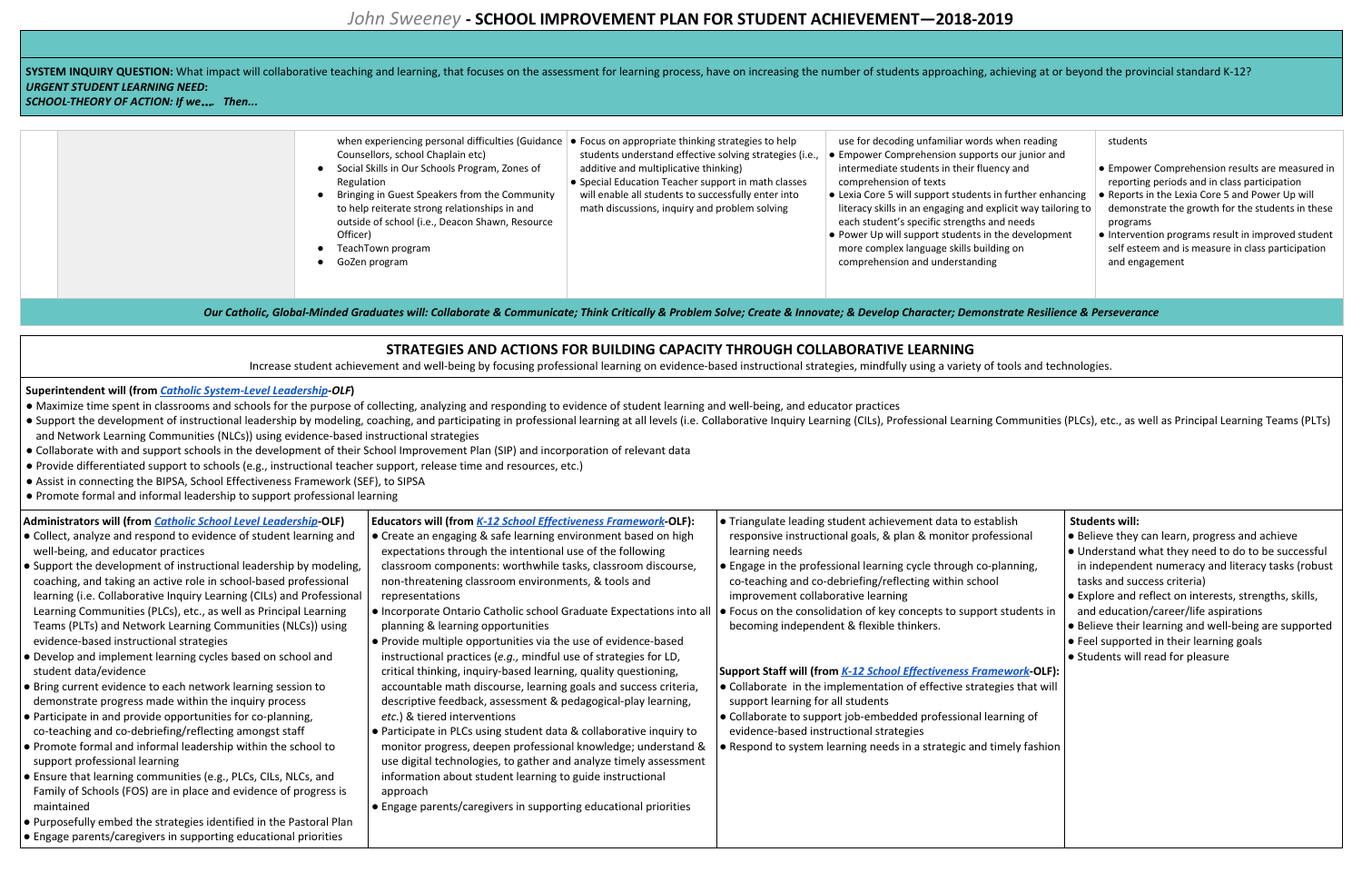SYSTEM INQUIRY QUESTION: What impact will collaborative teaching and learning, that focuses on the assessment for learning process, have on increasing the number of students approaching, achieving at or beyond the provinci *URGENT STUDENT LEARNING NEED***:**

*SCHOOL THEORY OF ACTION: If we*…*. Then...*

| Counsellors, school Chaplain etc)<br>Social Skills in Our Schools Program, Zones of<br>Regulation<br>Bringing in Guest Speakers from the Community<br>to help reiterate strong relationships in and<br>outside of school (i.e., Deacon Shawn, Resource<br>Officer)<br>TeachTown program<br>GoZen program | when experiencing personal difficulties (Guidance $\bullet$ Focus on appropriate thinking strategies to help<br>students understand effective solving strategies (i.e.,<br>additive and multiplicative thinking)<br>• Special Education Teacher support in math classes<br>will enable all students to successfully enter into<br>math discussions, inquiry and problem solving | use for decoding unfamiliar words when reading<br>• Empower Comprehension supports our junior and<br>intermediate students in their fluency and<br>comprehension of texts<br>• Lexia Core 5 will support students in further enhan<br>literacy skills in an engaging and explicit way tailor<br>each student's specific strengths and needs<br>• Power Up will support students in the developmer<br>more complex language skills building on<br>comprehension and understanding |
|----------------------------------------------------------------------------------------------------------------------------------------------------------------------------------------------------------------------------------------------------------------------------------------------------------|---------------------------------------------------------------------------------------------------------------------------------------------------------------------------------------------------------------------------------------------------------------------------------------------------------------------------------------------------------------------------------|----------------------------------------------------------------------------------------------------------------------------------------------------------------------------------------------------------------------------------------------------------------------------------------------------------------------------------------------------------------------------------------------------------------------------------------------------------------------------------|
|                                                                                                                                                                                                                                                                                                          |                                                                                                                                                                                                                                                                                                                                                                                 |                                                                                                                                                                                                                                                                                                                                                                                                                                                                                  |

Our Catholic, Global-Minded Graduates will: Collaborate & Communicate; Think Critically & Problem Solve; Create & Innovate; & Develop Character; Demonstrate Resilience & Perseverance

### students

- Maximize time spent in classrooms and schools for the purpose of collecting, analyzing and responding to evidence of student learning and well-being, and educator practices
- · Support the development of instructional leadership by modeling, coaching, and participating in professional learning at all levels (i.e. Collaborative Inquiry Learning (CILs), Professional Learning Communities (PLCs), e and Network Learning Communities (NLCs)) using evidence-based instructional strategies
- Collaborate with and support schools in the development of their School Improvement Plan (SIP) and incorporation of relevant data
- Provide differentiated support to schools (e.g., instructional teacher support, release time and resources, etc.)
- Assist in connecting the BIPSA, School Effectiveness Framework (SEF), to SIPSA
- Promote formal and informal leadership to support professional learning
- Empower Comprehension results are measured in reporting periods and in class participation
- Reports in the Lexia Core 5 and Power Up will demonstrate the growth for the students in these programs
- Intervention programs result in improved student self esteem and is measure in class participation and engagement

# **STRATEGIES AND ACTIONS FOR BUILDING CAPACITY THROUGH COLLABORATIVE LEARNING**

Increase student achievement and well-being by focusing professional learning on evidence-based instructional strategies, mindfully using a variety of tools and technologies.

### **Superintendent will (from** *Catholic [System-Level](https://cpco.on.ca/files/3813/8446/1850/Catholic_System-Level_Leadership.pdf) Leadership-OLF***)**

- Create an engaging & safe learning environment based on high expectations through the intentional use of the following classroom components: worthwhile tasks, classroom discourse, non-threatening classroom environments, & tools and representations
- Incorporate Ontario Catholic school Graduate Expectations into all planning & learning opportunities
- Provide multiple opportunities via the use of evidence-based instructional practices (*e.g.,* mindful use of strategies for LD, critical thinking, inquiry-based learning, quality questioning, accountable math discourse, learning goals and success criteria, descriptive feedback, assessment & pedagogical-play learning, *etc.*) & tiered interventions
- Participate in PLCs using student data & collaborative inquiry to monitor progress, deepen professional knowledge; understand & use digital technologies, to gather and analyze timely assessment information about student learning to guide instructional approach
- Engage parents/caregivers in supporting educational priorities
- $\bullet$  Engage in the professional learning cycle through co-planning co-teaching and co-debriefing/reflecting within school improvement collaborative learning
- Focus on the consolidation of key concepts to support becoming independent & flexible thinkers.

### **Support Staff will (from** *K-12 School [Effectiveness](https://www.education-leadership-ontario.ca/application/files/5114/9452/3522/K-12_School_Effectiveness_Framework.pdf) Frame*

- Collaborate in the implementation of effective strategi support learning for all students
- Collaborate to support job-embedded professional lea evidence-based instructional strategies
- Respond to system learning needs in a strategic and tir

| rhen reading   |
|----------------|
| our junior and |
| cy and         |

further enhancing licit way tailoring to needs e development

ng on

### **Administrators will (from** *Catholic School Level [Leadership](https://www.education-leadership-ontario.ca/application/files/9814/9452/2789/Catholic_School-Level_Leadership.pdf)***-OLF)**

- Collect, analyze and respond to evidence of student learning and well-being, and educator practices
- Support the development of instructional leadership by modeling, coaching, and taking an active role in school-based professional learning (i.e. Collaborative Inquiry Learning (CILs) and Professional Learning Communities (PLCs), etc., as well as Principal Learning Teams (PLTs) and Network Learning Communities (NLCs)) using evidence-based instructional strategies
- Develop and implement learning cycles based on school and student data/evidence
- Bring current evidence to each network learning session to demonstrate progress made within the inquiry process
- Participate in and provide opportunities for co-planning, co-teaching and co-debriefing/reflecting amongst staff
- Promote formal and informal leadership within the school to support professional learning
- Ensure that learning communities (e.g., PLCs, CILs, NLCs, and Family of Schools (FOS) are in place and evidence of progress is maintained
- Purposefully embed the strategies identified in the Pastoral Plan
- Engage parents/caregivers in supporting educational priorities

**Educators will (from** *K-12 School [Effectiveness](https://www.education-leadership-ontario.ca/application/files/5114/9452/3522/K-12_School_Effectiveness_Framework.pdf) Framework***-OLF):**

# ● Triangulate leading student achievement data to establish responsive instructional goals, & plan & monitor profes learning needs

| lish                | <b>Students will:</b>                                                                                                                   |
|---------------------|-----------------------------------------------------------------------------------------------------------------------------------------|
| ssional             | • Believe they can learn, progress and achieve                                                                                          |
| anning,             | • Understand what they need to do to be successful<br>in independent numeracy and literacy tasks (robust<br>tasks and success criteria) |
|                     | • Explore and reflect on interests, strengths, skills,                                                                                  |
| students in         | and education/career/life aspirations                                                                                                   |
|                     | • Believe their learning and well-being are supported                                                                                   |
|                     | • Feel supported in their learning goals                                                                                                |
|                     | • Students will read for pleasure                                                                                                       |
|                     |                                                                                                                                         |
| <u>ework</u> -OLF): |                                                                                                                                         |
| ies that will       |                                                                                                                                         |
|                     |                                                                                                                                         |
| rning of            |                                                                                                                                         |
|                     |                                                                                                                                         |
| nely fashion        |                                                                                                                                         |
|                     |                                                                                                                                         |
|                     |                                                                                                                                         |
|                     |                                                                                                                                         |
|                     |                                                                                                                                         |
|                     |                                                                                                                                         |
|                     |                                                                                                                                         |
|                     |                                                                                                                                         |